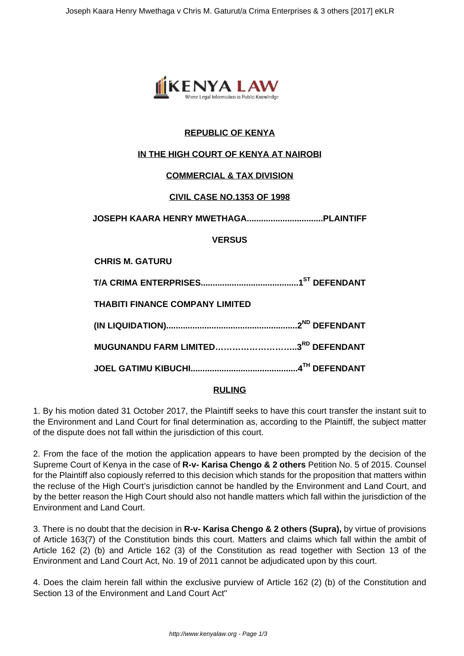

# **REPUBLIC OF KENYA**

## **IN THE HIGH COURT OF KENYA AT NAIROBI**

### **COMMERCIAL & TAX DIVISION**

### **CIVIL CASE NO.1353 OF 1998**

**JOSEPH KAARA HENRY MWETHAGA................................PLAINTIFF**

**VERSUS**

**CHRIS M. GATURU**

**T/A CRIMA ENTERPRISES.........................................1ST DEFENDANT**

**THABITI FINANCE COMPANY LIMITED**

| MUGUNANDU FARM LIMITED3 <sup>RD</sup> DEFENDANT |  |
|-------------------------------------------------|--|

**JOEL GATIMU KIBUCHI.............................................4TH DEFENDANT**

### **RULING**

1. By his motion dated 31 October 2017, the Plaintiff seeks to have this court transfer the instant suit to the Environment and Land Court for final determination as, according to the Plaintiff, the subject matter of the dispute does not fall within the jurisdiction of this court.

2. From the face of the motion the application appears to have been prompted by the decision of the Supreme Court of Kenya in the case of **R-v- Karisa Chengo & 2 others** Petition No. 5 of 2015. Counsel for the Plaintiff also copiously referred to this decision which stands for the proposition that matters within the recluse of the High Court's jurisdiction cannot be handled by the Environment and Land Court, and by the better reason the High Court should also not handle matters which fall within the jurisdiction of the Environment and Land Court.

3. There is no doubt that the decision in **R-v- Karisa Chengo & 2 others (Supra),** by virtue of provisions of Article 163(7) of the Constitution binds this court. Matters and claims which fall within the ambit of Article 162 (2) (b) and Article 162 (3) of the Constitution as read together with Section 13 of the Environment and Land Court Act, No. 19 of 2011 cannot be adjudicated upon by this court.

4. Does the claim herein fall within the exclusive purview of Article 162 (2) (b) of the Constitution and Section 13 of the Environment and Land Court Act"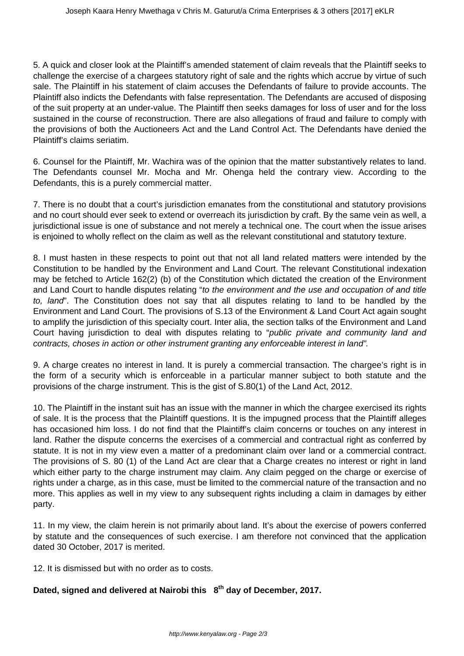5. A quick and closer look at the Plaintiff's amended statement of claim reveals that the Plaintiff seeks to challenge the exercise of a chargees statutory right of sale and the rights which accrue by virtue of such sale. The Plaintiff in his statement of claim accuses the Defendants of failure to provide accounts. The Plaintiff also indicts the Defendants with false representation. The Defendants are accused of disposing of the suit property at an under-value. The Plaintiff then seeks damages for loss of user and for the loss sustained in the course of reconstruction. There are also allegations of fraud and failure to comply with the provisions of both the Auctioneers Act and the Land Control Act. The Defendants have denied the Plaintiff's claims seriatim.

6. Counsel for the Plaintiff, Mr. Wachira was of the opinion that the matter substantively relates to land. The Defendants counsel Mr. Mocha and Mr. Ohenga held the contrary view. According to the Defendants, this is a purely commercial matter.

7. There is no doubt that a court's jurisdiction emanates from the constitutional and statutory provisions and no court should ever seek to extend or overreach its jurisdiction by craft. By the same vein as well, a jurisdictional issue is one of substance and not merely a technical one. The court when the issue arises is enjoined to wholly reflect on the claim as well as the relevant constitutional and statutory texture.

8. I must hasten in these respects to point out that not all land related matters were intended by the Constitution to be handled by the Environment and Land Court. The relevant Constitutional indexation may be fetched to Article 162(2) (b) of the Constitution which dictated the creation of the Environment and Land Court to handle disputes relating "to the environment and the use and occupation of and title to, land". The Constitution does not say that all disputes relating to land to be handled by the Environment and Land Court. The provisions of S.13 of the Environment & Land Court Act again sought to amplify the jurisdiction of this specialty court. Inter alia, the section talks of the Environment and Land Court having jurisdiction to deal with disputes relating to "public private and community land and contracts, choses in action or other instrument granting any enforceable interest in land".

9. A charge creates no interest in land. It is purely a commercial transaction. The chargee's right is in the form of a security which is enforceable in a particular manner subject to both statute and the provisions of the charge instrument. This is the gist of S.80(1) of the Land Act, 2012.

10. The Plaintiff in the instant suit has an issue with the manner in which the chargee exercised its rights of sale. It is the process that the Plaintiff questions. It is the impugned process that the Plaintiff alleges has occasioned him loss. I do not find that the Plaintiff's claim concerns or touches on any interest in land. Rather the dispute concerns the exercises of a commercial and contractual right as conferred by statute. It is not in my view even a matter of a predominant claim over land or a commercial contract. The provisions of S. 80 (1) of the Land Act are clear that a Charge creates no interest or right in land which either party to the charge instrument may claim. Any claim pegged on the charge or exercise of rights under a charge, as in this case, must be limited to the commercial nature of the transaction and no more. This applies as well in my view to any subsequent rights including a claim in damages by either party.

11. In my view, the claim herein is not primarily about land. It's about the exercise of powers conferred by statute and the consequences of such exercise. I am therefore not convinced that the application dated 30 October, 2017 is merited.

12. It is dismissed but with no order as to costs.

### **Dated, signed and delivered at Nairobi this 8th day of December, 2017.**